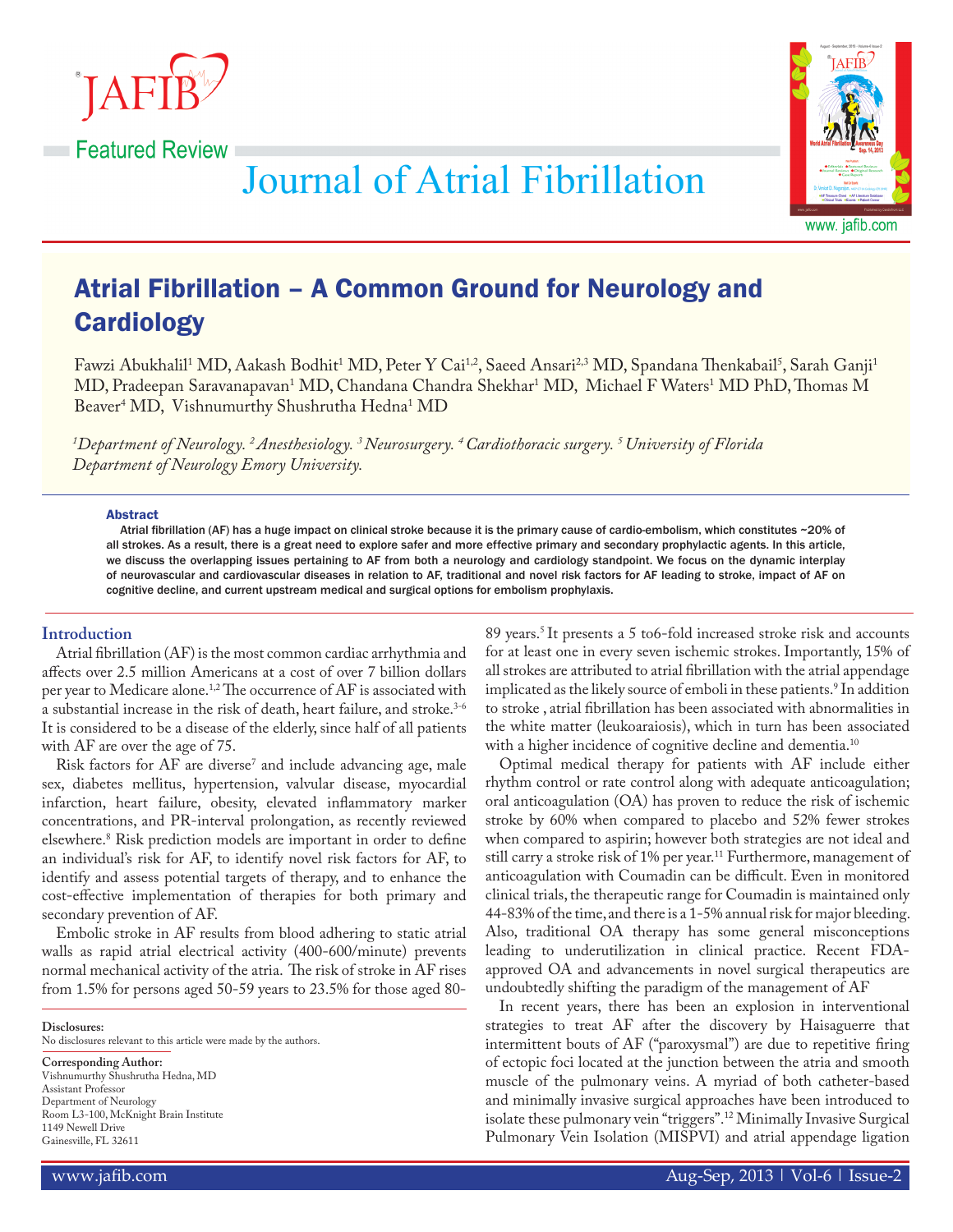



**Journal of Atrial Fibrillation** 

# Atrial Fibrillation – A Common Ground for Neurology and **Cardiology**

Fawzi Abukhalil<sup>1</sup> MD, Aakash Bodhit<sup>1</sup> MD, Peter Y Cai<sup>1,2</sup>, Saeed Ansari<sup>2,3</sup> MD, Spandana Thenkabail<sup>5</sup>, Sarah Ganji<sup>1</sup> MD, Pradeepan Saravanapavan<sup>1</sup> MD, Chandana Chandra Shekhar<sup>1</sup> MD, Michael F Waters<sup>1</sup> MD PhD, Thomas M Beaver<sup>4</sup> MD, Vishnumurthy Shushrutha Hedna<sup>1</sup> MD

*1 Department of Neurology. 2 Anesthesiology. 3 Neurosurgery. 4 Cardiothoracic surgery. 5 University of Florida Department of Neurology Emory University.*

#### **Abstract**

Atrial fibrillation (AF) has a huge impact on clinical stroke because it is the primary cause of cardio-embolism, which constitutes ~20% of all strokes. As a result, there is a great need to explore safer and more effective primary and secondary prophylactic agents. In this article, we discuss the overlapping issues pertaining to AF from both a neurology and cardiology standpoint. We focus on the dynamic interplay of neurovascular and cardiovascular diseases in relation to AF, traditional and novel risk factors for AF leading to stroke, impact of AF on cognitive decline, and current upstream medical and surgical options for embolism prophylaxis.

# **Introduction**

Atrial fibrillation (AF) is the most common cardiac arrhythmia and affects over 2.5 million Americans at a cost of over 7 billion dollars per year to Medicare alone.<sup>1,2</sup> The occurrence of AF is associated with a substantial increase in the risk of death, heart failure, and stroke.<sup>3-6</sup> It is considered to be a disease of the elderly, since half of all patients with AF are over the age of 75.

Risk factors for AF are diverse<sup>7</sup> and include advancing age, male sex, diabetes mellitus, hypertension, valvular disease, myocardial infarction, heart failure, obesity, elevated inflammatory marker concentrations, and PR-interval prolongation, as recently reviewed elsewhere.8 Risk prediction models are important in order to define an individual's risk for AF, to identify novel risk factors for AF, to identify and assess potential targets of therapy, and to enhance the cost-effective implementation of therapies for both primary and secondary prevention of AF.

Embolic stroke in AF results from blood adhering to static atrial walls as rapid atrial electrical activity (400-600/minute) prevents normal mechanical activity of the atria. The risk of stroke in AF rises from 1.5% for persons aged 50-59 years to 23.5% for those aged 80-

**Disclosures:**

No disclosures relevant to this article were made by the authors.

**Corresponding Author:** Vishnumurthy Shushrutha Hedna, MD Assistant Professor Department of Neurology Room L3-100, McKnight Brain Institute 1149 Newell Drive Gainesville, FL 32611

89 years.<sup>5</sup> It presents a 5 to6-fold increased stroke risk and accounts for at least one in every seven ischemic strokes. Importantly, 15% of all strokes are attributed to atrial fibrillation with the atrial appendage implicated as the likely source of emboli in these patients.' In addition to stroke , atrial fibrillation has been associated with abnormalities in the white matter (leukoaraiosis), which in turn has been associated with a higher incidence of cognitive decline and dementia.<sup>10</sup>

Optimal medical therapy for patients with AF include either rhythm control or rate control along with adequate anticoagulation; oral anticoagulation (OA) has proven to reduce the risk of ischemic stroke by 60% when compared to placebo and 52% fewer strokes when compared to aspirin; however both strategies are not ideal and still carry a stroke risk of 1% per year.<sup>11</sup> Furthermore, management of anticoagulation with Coumadin can be difficult. Even in monitored clinical trials, the therapeutic range for Coumadin is maintained only 44-83% of the time, and there is a 1-5% annual risk for major bleeding. Also, traditional OA therapy has some general misconceptions leading to underutilization in clinical practice. Recent FDAapproved OA and advancements in novel surgical therapeutics are undoubtedly shifting the paradigm of the management of AF

In recent years, there has been an explosion in interventional strategies to treat AF after the discovery by Haisaguerre that intermittent bouts of AF ("paroxysmal") are due to repetitive firing of ectopic foci located at the junction between the atria and smooth muscle of the pulmonary veins. A myriad of both catheter-based and minimally invasive surgical approaches have been introduced to isolate these pulmonary vein "triggers".12 Minimally Invasive Surgical Pulmonary Vein Isolation (MISPVI) and atrial appendage ligation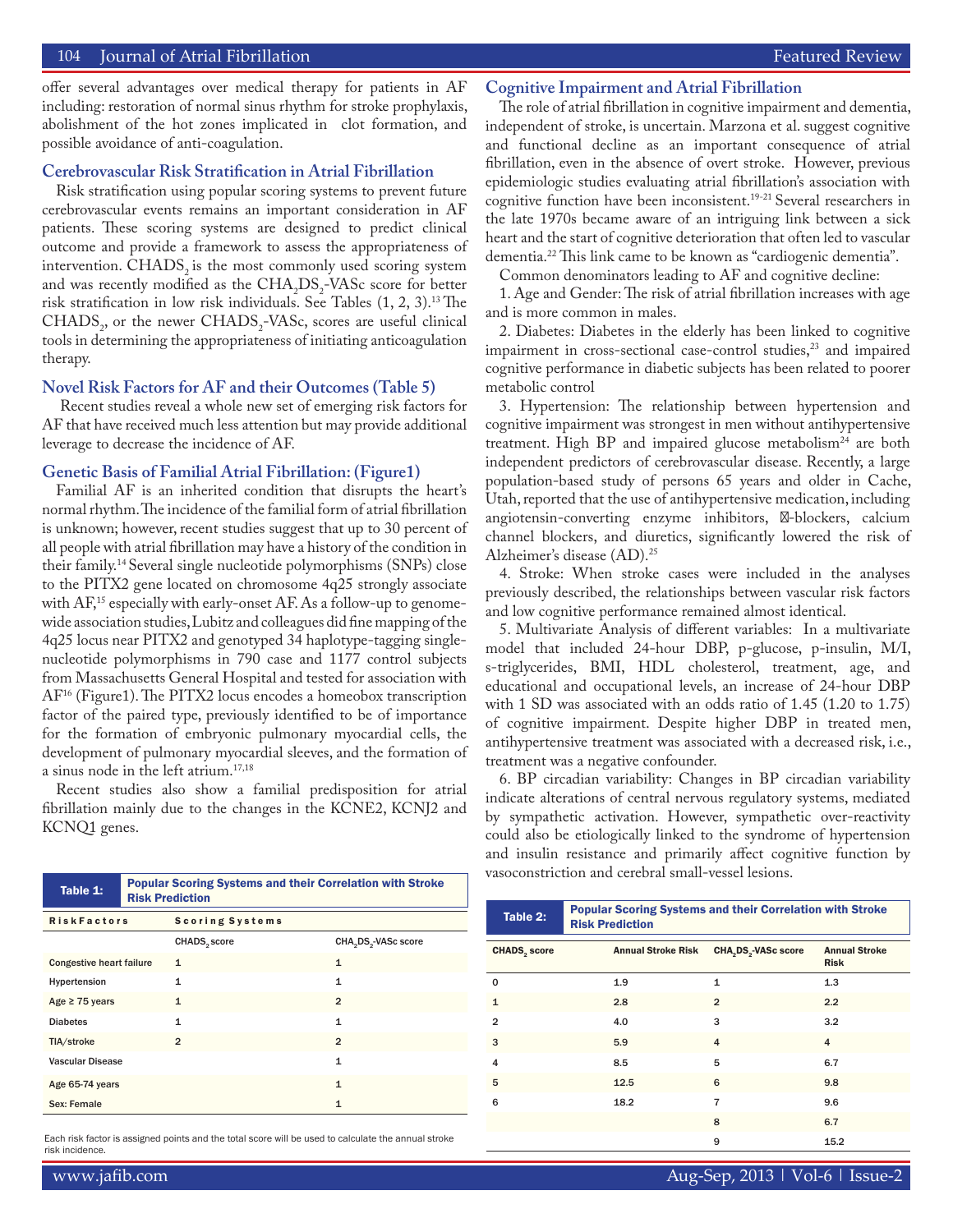## 104 Journal of Atrial Fibrillation Featured Review

offer several advantages over medical therapy for patients in AF including: restoration of normal sinus rhythm for stroke prophylaxis, abolishment of the hot zones implicated in clot formation, and possible avoidance of anti-coagulation.

## **Cerebrovascular Risk Stratification in Atrial Fibrillation**

Risk stratification using popular scoring systems to prevent future cerebrovascular events remains an important consideration in AF patients. These scoring systems are designed to predict clinical outcome and provide a framework to assess the appropriateness of intervention. CHADS<sub>2</sub> is the most commonly used scoring system and was recently modified as the  $CHA<sub>2</sub>DS<sub>2</sub>$ -VASc score for better risk stratification in low risk individuals. See Tables (1, 2, 3).13 The  $CHADS<sub>2</sub>$ , or the newer  $CHADS<sub>2</sub>-VASC$ , scores are useful clinical tools in determining the appropriateness of initiating anticoagulation therapy.

## **Novel Risk Factors for AF and their Outcomes (Table 5)**

 Recent studies reveal a whole new set of emerging risk factors for AF that have received much less attention but may provide additional leverage to decrease the incidence of AF.

#### **Genetic Basis of Familial Atrial Fibrillation: (Figure1)**

Familial AF is an inherited condition that disrupts the heart's normal rhythm. The incidence of the familial form of atrial fibrillation is unknown; however, recent studies suggest that up to 30 percent of all people with atrial fibrillation may have a history of the condition in their family.14 Several single nucleotide polymorphisms (SNPs) close to the PITX2 gene located on chromosome 4q25 strongly associate with AF,<sup>15</sup> especially with early-onset AF. As a follow-up to genomewide association studies, Lubitz and colleagues did fine mapping of the 4q25 locus near PITX2 and genotyped 34 haplotype-tagging singlenucleotide polymorphisms in 790 case and 1177 control subjects from Massachusetts General Hospital and tested for association with AF16 (Figure1). The PITX2 locus encodes a homeobox transcription factor of the paired type, previously identified to be of importance for the formation of embryonic pulmonary myocardial cells, the development of pulmonary myocardial sleeves, and the formation of a sinus node in the left atrium.17,18

Recent studies also show a familial predisposition for atrial fibrillation mainly due to the changes in the KCNE2, KCNJ2 and KCNQ1 genes.

## **Cognitive Impairment and Atrial Fibrillation**

The role of atrial fibrillation in cognitive impairment and dementia, independent of stroke, is uncertain. Marzona et al. suggest cognitive and functional decline as an important consequence of atrial fibrillation, even in the absence of overt stroke. However, previous epidemiologic studies evaluating atrial fibrillation's association with cognitive function have been inconsistent.<sup>19-21</sup> Several researchers in the late 1970s became aware of an intriguing link between a sick heart and the start of cognitive deterioration that often led to vascular dementia.22 This link came to be known as "cardiogenic dementia".

Common denominators leading to AF and cognitive decline:

1. Age and Gender: The risk of atrial fibrillation increases with age and is more common in males.

2. Diabetes: Diabetes in the elderly has been linked to cognitive impairment in cross-sectional case-control studies,<sup>23</sup> and impaired cognitive performance in diabetic subjects has been related to poorer metabolic control

3. Hypertension: The relationship between hypertension and cognitive impairment was strongest in men without antihypertensive treatment. High  $BP$  and impaired glucose metabolism<sup>24</sup> are both independent predictors of cerebrovascular disease. Recently, a large population-based study of persons 65 years and older in Cache, Utah, reported that the use of antihypertensive medication, including angiotensin-converting enzyme inhibitors, -blockers, calcium channel blockers, and diuretics, significantly lowered the risk of Alzheimer's disease (AD).25

4. Stroke: When stroke cases were included in the analyses previously described, the relationships between vascular risk factors and low cognitive performance remained almost identical.

5. Multivariate Analysis of different variables: In a multivariate model that included 24-hour DBP, p-glucose, p-insulin, M/I, s-triglycerides, BMI, HDL cholesterol, treatment, age, and educational and occupational levels, an increase of 24-hour DBP with 1 SD was associated with an odds ratio of 1.45 (1.20 to 1.75) of cognitive impairment. Despite higher DBP in treated men, antihypertensive treatment was associated with a decreased risk, i.e., treatment was a negative confounder.

6. BP circadian variability: Changes in BP circadian variability indicate alterations of central nervous regulatory systems, mediated by sympathetic activation. However, sympathetic over-reactivity could also be etiologically linked to the syndrome of hypertension and insulin resistance and primarily affect cognitive function by vasoconstriction and cerebral small-vessel lesions.

Table 2: Popular Scoring Systems and their Correlation with Stroke

 $CHADS<sub>2</sub> score$  Annual Stroke Risk  $CHA<sub>2</sub>DS<sub>2</sub> - VASC score$  Annual Stroke

0 1.9 1 1.3 1 2.8 2 2.2 2 4.0 3 3.2  $3 \t\t 5.9 \t\t 4 \t\t 4$ 4 8.5 5 6.7 5 12.5 6 9.8 6 18.2 7 9.6

Risk Prediction

| Table 1:                        | <b>Popular Scoring Systems and their Correlation with Stroke</b><br><b>Risk Prediction</b> |                          |                                              |  |
|---------------------------------|--------------------------------------------------------------------------------------------|--------------------------|----------------------------------------------|--|
| <b>RiskFactors</b>              |                                                                                            | Scoring Systems          |                                              |  |
|                                 |                                                                                            | CHADS <sub>2</sub> score | CHA <sub>2</sub> DS <sub>2</sub> -VASc score |  |
| <b>Congestive heart failure</b> |                                                                                            | $\mathbf{1}$             | 1                                            |  |
| Hypertension                    |                                                                                            | 1                        | 1                                            |  |
| Age $\geq$ 75 years             |                                                                                            | $\mathbf{1}$             | $\overline{2}$                               |  |
| <b>Diabetes</b>                 |                                                                                            | $\mathbf{1}$             | $\mathbf{1}$                                 |  |
| TIA/stroke                      |                                                                                            | $\overline{2}$           | $\overline{2}$                               |  |
| <b>Vascular Disease</b>         |                                                                                            |                          | $\mathbf{1}$                                 |  |
| Age 65-74 years                 |                                                                                            |                          | 1                                            |  |
| Sex: Female                     |                                                                                            |                          | 1                                            |  |

Each risk factor is assigned points and the total score will be used to calculate the annual stroke example of the stroke of the stroke of the stroke of the stroke of the stroke of the stroke of the stroke of the stroke of risk incidence.

8 6.7

Risk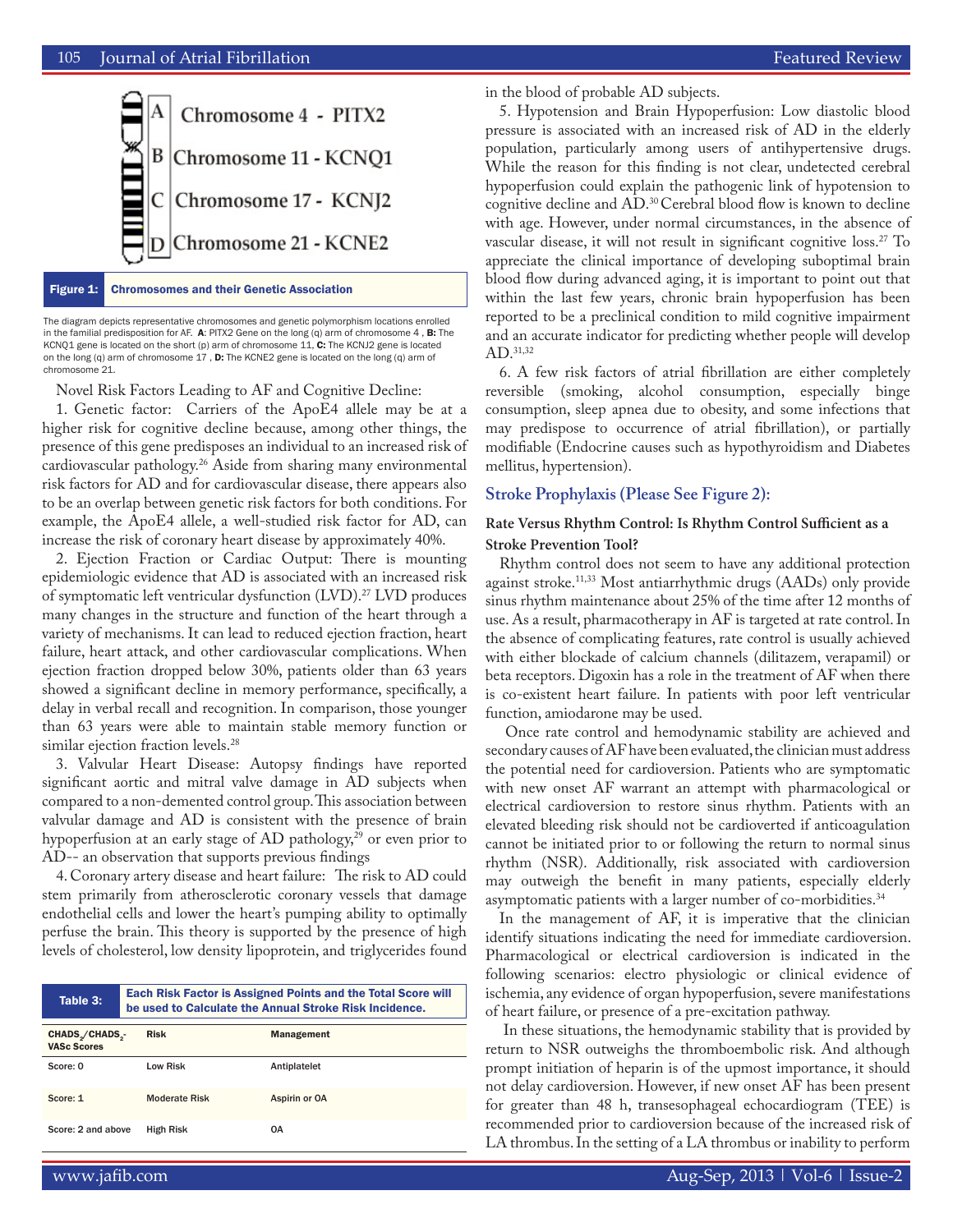

Figure 1: Chromosomes and their Genetic Association

The diagram depicts representative chromosomes and genetic polymorphism locations enrolled in the familial predisposition for AF. A: PITX2 Gene on the long (q) arm of chromosome 4, B: The KCNQ1 gene is located on the short (p) arm of chromosome 11, C: The KCNJ2 gene is located on the long (q) arm of chromosome 17 , D: The KCNE2 gene is located on the long (q) arm of chromosome 21.

Novel Risk Factors Leading to AF and Cognitive Decline:

1. Genetic factor: Carriers of the ApoE4 allele may be at a higher risk for cognitive decline because, among other things, the presence of this gene predisposes an individual to an increased risk of cardiovascular pathology.26 Aside from sharing many environmental risk factors for AD and for cardiovascular disease, there appears also to be an overlap between genetic risk factors for both conditions. For example, the ApoE4 allele, a well-studied risk factor for AD, can increase the risk of coronary heart disease by approximately 40%.

2. Ejection Fraction or Cardiac Output: There is mounting epidemiologic evidence that AD is associated with an increased risk of symptomatic left ventricular dysfunction (LVD).27 LVD produces many changes in the structure and function of the heart through a variety of mechanisms. It can lead to reduced ejection fraction, heart failure, heart attack, and other cardiovascular complications. When ejection fraction dropped below 30%, patients older than 63 years showed a significant decline in memory performance, specifically, a delay in verbal recall and recognition. In comparison, those younger than 63 years were able to maintain stable memory function or similar ejection fraction levels.<sup>28</sup>

3. Valvular Heart Disease: Autopsy findings have reported significant aortic and mitral valve damage in AD subjects when compared to a non-demented control group. This association between valvular damage and AD is consistent with the presence of brain hypoperfusion at an early stage of AD pathology,<sup>29</sup> or even prior to AD-- an observation that supports previous findings

4. Coronary artery disease and heart failure: The risk to AD could stem primarily from atherosclerotic coronary vessels that damage endothelial cells and lower the heart's pumping ability to optimally perfuse the brain. This theory is supported by the presence of high levels of cholesterol, low density lipoprotein, and triglycerides found

| Table 3:                                                       | <b>Each Risk Factor is Assigned Points and the Total Score will</b><br>be used to Calculate the Annual Stroke Risk Incidence. |                   |  |  |  |
|----------------------------------------------------------------|-------------------------------------------------------------------------------------------------------------------------------|-------------------|--|--|--|
| CHADS <sub>2</sub> /CHADS <sub>3</sub> -<br><b>VASc Scores</b> | <b>Risk</b>                                                                                                                   | <b>Management</b> |  |  |  |
| Score: 0                                                       | I ow Risk                                                                                                                     | Antiplatelet      |  |  |  |
| Score: 1                                                       | <b>Moderate Risk</b>                                                                                                          | Aspirin or OA     |  |  |  |
| Score: 2 and above                                             | <b>High Risk</b>                                                                                                              | 0A                |  |  |  |

in the blood of probable AD subjects.

5. Hypotension and Brain Hypoperfusion: Low diastolic blood pressure is associated with an increased risk of AD in the elderly population, particularly among users of antihypertensive drugs. While the reason for this finding is not clear, undetected cerebral hypoperfusion could explain the pathogenic link of hypotension to cognitive decline and AD.30 Cerebral blood flow is known to decline with age. However, under normal circumstances, in the absence of vascular disease, it will not result in significant cognitive loss.<sup>27</sup> To appreciate the clinical importance of developing suboptimal brain blood flow during advanced aging, it is important to point out that within the last few years, chronic brain hypoperfusion has been reported to be a preclinical condition to mild cognitive impairment and an accurate indicator for predicting whether people will develop AD.31,32

6. A few risk factors of atrial fibrillation are either completely reversible (smoking, alcohol consumption, especially binge consumption, sleep apnea due to obesity, and some infections that may predispose to occurrence of atrial fibrillation), or partially modifiable (Endocrine causes such as hypothyroidism and Diabetes mellitus, hypertension).

## **Stroke Prophylaxis (Please See Figure 2):**

# **Rate Versus Rhythm Control: Is Rhythm Control Sufficient as a Stroke Prevention Tool?**

Rhythm control does not seem to have any additional protection against stroke.<sup>11,33</sup> Most antiarrhythmic drugs (AADs) only provide sinus rhythm maintenance about 25% of the time after 12 months of use. As a result, pharmacotherapy in AF is targeted at rate control. In the absence of complicating features, rate control is usually achieved with either blockade of calcium channels (dilitazem, verapamil) or beta receptors. Digoxin has a role in the treatment of AF when there is co-existent heart failure. In patients with poor left ventricular function, amiodarone may be used.

 Once rate control and hemodynamic stability are achieved and secondary causes of AF have been evaluated, the clinician must address the potential need for cardioversion. Patients who are symptomatic with new onset AF warrant an attempt with pharmacological or electrical cardioversion to restore sinus rhythm. Patients with an elevated bleeding risk should not be cardioverted if anticoagulation cannot be initiated prior to or following the return to normal sinus rhythm (NSR). Additionally, risk associated with cardioversion may outweigh the benefit in many patients, especially elderly asymptomatic patients with a larger number of co-morbidities.<sup>34</sup>

In the management of AF, it is imperative that the clinician identify situations indicating the need for immediate cardioversion. Pharmacological or electrical cardioversion is indicated in the following scenarios: electro physiologic or clinical evidence of ischemia, any evidence of organ hypoperfusion, severe manifestations of heart failure, or presence of a pre-excitation pathway.

 In these situations, the hemodynamic stability that is provided by return to NSR outweighs the thromboembolic risk. And although prompt initiation of heparin is of the upmost importance, it should not delay cardioversion. However, if new onset AF has been present for greater than 48 h, transesophageal echocardiogram (TEE) is recommended prior to cardioversion because of the increased risk of LA thrombus. In the setting of a LA thrombus or inability to perform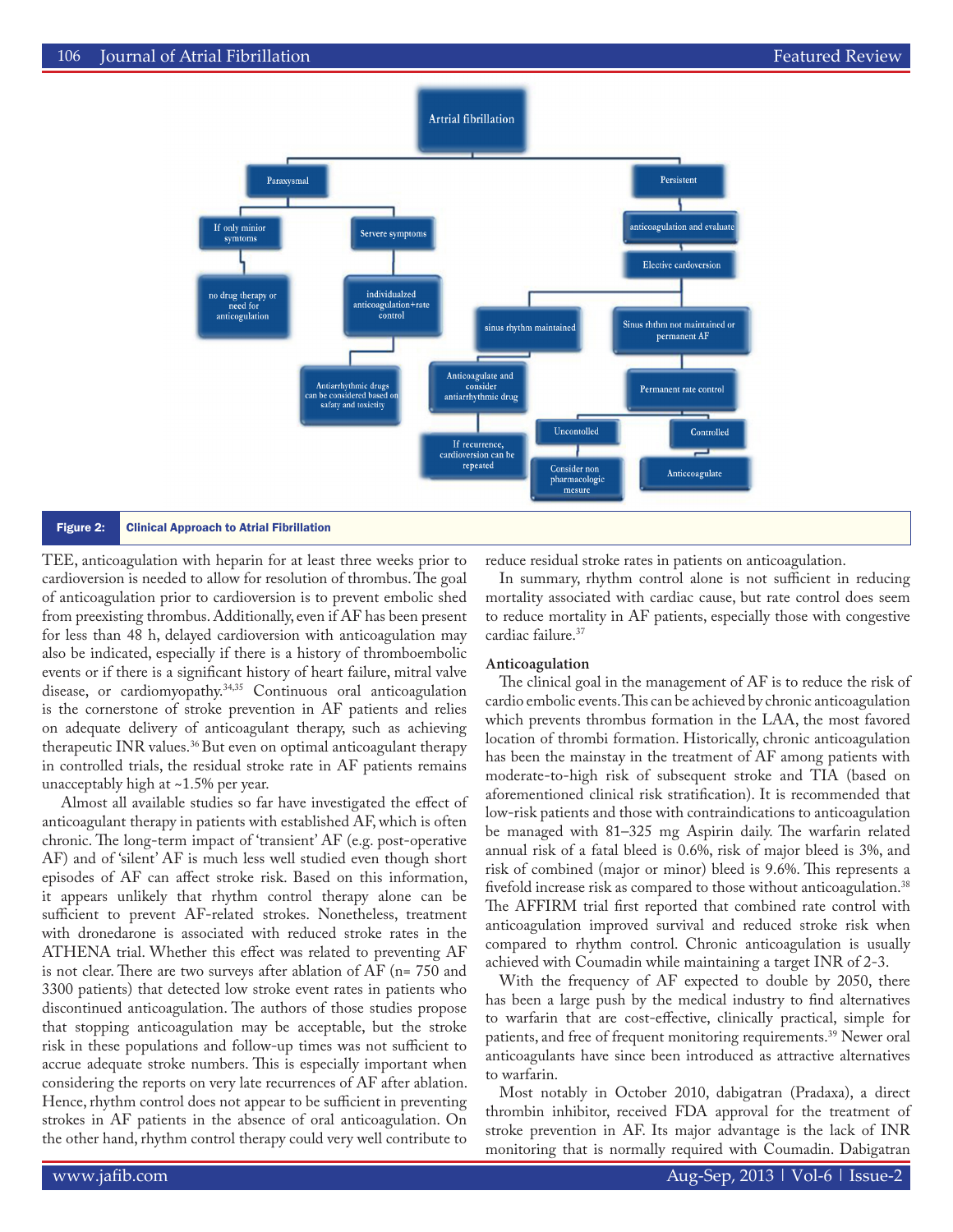

TEE, anticoagulation with heparin for at least three weeks prior to cardioversion is needed to allow for resolution of thrombus. The goal of anticoagulation prior to cardioversion is to prevent embolic shed from preexisting thrombus. Additionally, even if AF has been present for less than 48 h, delayed cardioversion with anticoagulation may also be indicated, especially if there is a history of thromboembolic events or if there is a significant history of heart failure, mitral valve disease, or cardiomyopathy.34,35 Continuous oral anticoagulation is the cornerstone of stroke prevention in AF patients and relies on adequate delivery of anticoagulant therapy, such as achieving therapeutic INR values.36 But even on optimal anticoagulant therapy in controlled trials, the residual stroke rate in AF patients remains unacceptably high at ~1.5% per year.

 Almost all available studies so far have investigated the effect of anticoagulant therapy in patients with established AF, which is often chronic. The long-term impact of 'transient' AF (e.g. post-operative AF) and of 'silent' AF is much less well studied even though short episodes of AF can affect stroke risk. Based on this information, it appears unlikely that rhythm control therapy alone can be sufficient to prevent AF-related strokes. Nonetheless, treatment with dronedarone is associated with reduced stroke rates in the ATHENA trial. Whether this effect was related to preventing AF is not clear. There are two surveys after ablation of AF (n= 750 and 3300 patients) that detected low stroke event rates in patients who discontinued anticoagulation. The authors of those studies propose that stopping anticoagulation may be acceptable, but the stroke risk in these populations and follow-up times was not sufficient to accrue adequate stroke numbers. This is especially important when considering the reports on very late recurrences of AF after ablation. Hence, rhythm control does not appear to be sufficient in preventing strokes in AF patients in the absence of oral anticoagulation. On the other hand, rhythm control therapy could very well contribute to

reduce residual stroke rates in patients on anticoagulation.

In summary, rhythm control alone is not sufficient in reducing mortality associated with cardiac cause, but rate control does seem to reduce mortality in AF patients, especially those with congestive cardiac failure.<sup>37</sup>

#### **Anticoagulation**

The clinical goal in the management of AF is to reduce the risk of cardio embolic events. This can be achieved by chronic anticoagulation which prevents thrombus formation in the LAA, the most favored location of thrombi formation. Historically, chronic anticoagulation has been the mainstay in the treatment of AF among patients with moderate-to-high risk of subsequent stroke and TIA (based on aforementioned clinical risk stratification). It is recommended that low-risk patients and those with contraindications to anticoagulation be managed with 81–325 mg Aspirin daily. The warfarin related annual risk of a fatal bleed is 0.6%, risk of major bleed is 3%, and risk of combined (major or minor) bleed is 9.6%. This represents a fivefold increase risk as compared to those without anticoagulation.<sup>38</sup> The AFFIRM trial first reported that combined rate control with anticoagulation improved survival and reduced stroke risk when compared to rhythm control. Chronic anticoagulation is usually achieved with Coumadin while maintaining a target INR of 2-3.

With the frequency of AF expected to double by 2050, there has been a large push by the medical industry to find alternatives to warfarin that are cost-effective, clinically practical, simple for patients, and free of frequent monitoring requirements.<sup>39</sup> Newer oral anticoagulants have since been introduced as attractive alternatives to warfarin.

Most notably in October 2010, dabigatran (Pradaxa), a direct thrombin inhibitor, received FDA approval for the treatment of stroke prevention in AF. Its major advantage is the lack of INR monitoring that is normally required with Coumadin. Dabigatran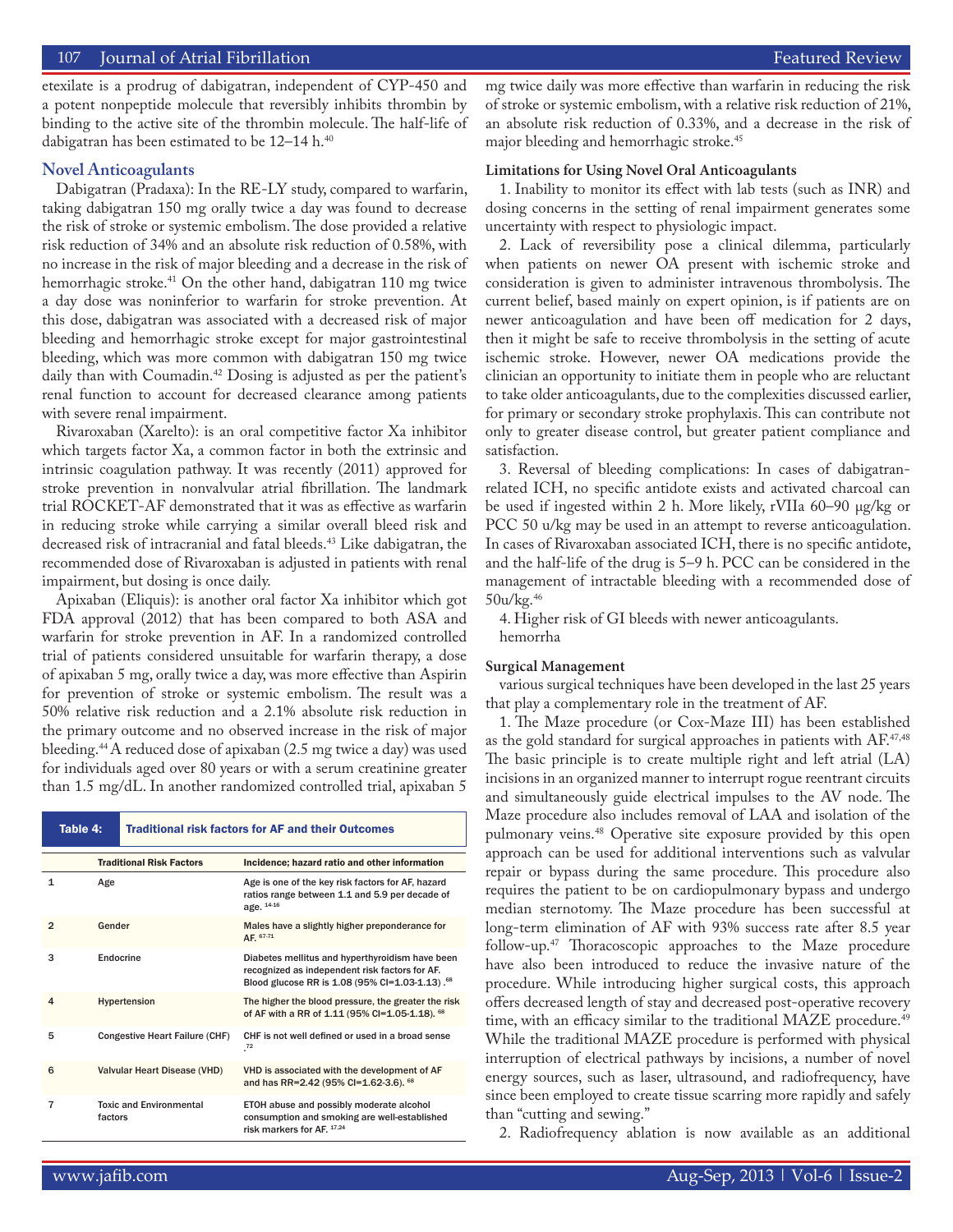etexilate is a prodrug of dabigatran, independent of CYP-450 and a potent nonpeptide molecule that reversibly inhibits thrombin by binding to the active site of the thrombin molecule. The half-life of dabigatran has been estimated to be 12–14 h.<sup>40</sup>

#### **Novel Anticoagulants**

Dabigatran (Pradaxa): In the RE-LY study, compared to warfarin, taking dabigatran 150 mg orally twice a day was found to decrease the risk of stroke or systemic embolism. The dose provided a relative risk reduction of 34% and an absolute risk reduction of 0.58%, with no increase in the risk of major bleeding and a decrease in the risk of hemorrhagic stroke.<sup>41</sup> On the other hand, dabigatran 110 mg twice a day dose was noninferior to warfarin for stroke prevention. At this dose, dabigatran was associated with a decreased risk of major bleeding and hemorrhagic stroke except for major gastrointestinal bleeding, which was more common with dabigatran 150 mg twice daily than with Coumadin.<sup>42</sup> Dosing is adjusted as per the patient's renal function to account for decreased clearance among patients with severe renal impairment.

Rivaroxaban (Xarelto): is an oral competitive factor Xa inhibitor which targets factor Xa, a common factor in both the extrinsic and intrinsic coagulation pathway. It was recently (2011) approved for stroke prevention in nonvalvular atrial fibrillation. The landmark trial ROCKET-AF demonstrated that it was as effective as warfarin in reducing stroke while carrying a similar overall bleed risk and decreased risk of intracranial and fatal bleeds.43 Like dabigatran, the recommended dose of Rivaroxaban is adjusted in patients with renal impairment, but dosing is once daily.

Apixaban (Eliquis): is another oral factor Xa inhibitor which got FDA approval (2012) that has been compared to both ASA and warfarin for stroke prevention in AF. In a randomized controlled trial of patients considered unsuitable for warfarin therapy, a dose of apixaban 5 mg, orally twice a day, was more effective than Aspirin for prevention of stroke or systemic embolism. The result was a 50% relative risk reduction and a 2.1% absolute risk reduction in the primary outcome and no observed increase in the risk of major bleeding.44 A reduced dose of apixaban (2.5 mg twice a day) was used for individuals aged over 80 years or with a serum creatinine greater than 1.5 mg/dL. In another randomized controlled trial, apixaban 5

| Table 4:       |                                           | <b>Traditional risk factors for AF and their Outcomes</b> |                                                                                                                                                                 |  |  |
|----------------|-------------------------------------------|-----------------------------------------------------------|-----------------------------------------------------------------------------------------------------------------------------------------------------------------|--|--|
|                | <b>Traditional Risk Factors</b>           |                                                           | Incidence; hazard ratio and other information                                                                                                                   |  |  |
| 1              | Age                                       |                                                           | Age is one of the key risk factors for AF, hazard<br>ratios range between 1.1 and 5.9 per decade of<br>age. 14-16                                               |  |  |
| $\overline{2}$ | Gender                                    |                                                           | Males have a slightly higher preponderance for<br>AF. 67-71                                                                                                     |  |  |
| 3              |                                           | Endocrine                                                 | Diabetes mellitus and hyperthyroidism have been<br>recognized as independent risk factors for AF.<br>Blood glucose RR is 1.08 (95% Cl=1.03-1.13). <sup>68</sup> |  |  |
| 4              |                                           | Hypertension                                              | The higher the blood pressure, the greater the risk<br>of AF with a RR of 1.11 (95% CI=1.05-1.18). 68                                                           |  |  |
| 5              |                                           | Congestive Heart Failure (CHF)                            | CHF is not well defined or used in a broad sense<br>$^{72}$                                                                                                     |  |  |
| 6              | <b>Valvular Heart Disease (VHD)</b>       |                                                           | VHD is associated with the development of AF<br>and has RR=2.42 (95% CI=1.62-3.6). 68                                                                           |  |  |
| $\overline{7}$ | <b>Toxic and Environmental</b><br>factors |                                                           | ETOH abuse and possibly moderate alcohol<br>consumption and smoking are well-established<br>risk markers for AF. 17,24                                          |  |  |

mg twice daily was more effective than warfarin in reducing the risk of stroke or systemic embolism, with a relative risk reduction of 21%, an absolute risk reduction of 0.33%, and a decrease in the risk of major bleeding and hemorrhagic stroke.45

#### **Limitations for Using Novel Oral Anticoagulants**

1. Inability to monitor its effect with lab tests (such as INR) and dosing concerns in the setting of renal impairment generates some uncertainty with respect to physiologic impact.

2. Lack of reversibility pose a clinical dilemma, particularly when patients on newer OA present with ischemic stroke and consideration is given to administer intravenous thrombolysis. The current belief, based mainly on expert opinion, is if patients are on newer anticoagulation and have been off medication for 2 days, then it might be safe to receive thrombolysis in the setting of acute ischemic stroke. However, newer OA medications provide the clinician an opportunity to initiate them in people who are reluctant to take older anticoagulants, due to the complexities discussed earlier, for primary or secondary stroke prophylaxis. This can contribute not only to greater disease control, but greater patient compliance and satisfaction.

3. Reversal of bleeding complications: In cases of dabigatranrelated ICH, no specific antidote exists and activated charcoal can be used if ingested within 2 h. More likely, rVIIa 60–90 μg/kg or PCC 50 u/kg may be used in an attempt to reverse anticoagulation. In cases of Rivaroxaban associated ICH, there is no specific antidote, and the half-life of the drug is 5–9 h. PCC can be considered in the management of intractable bleeding with a recommended dose of 50u/kg.46

4. Higher risk of GI bleeds with newer anticoagulants. hemorrha

#### **Surgical Management**

various surgical techniques have been developed in the last 25 years that play a complementary role in the treatment of AF.

1. The Maze procedure (or Cox-Maze III) has been established as the gold standard for surgical approaches in patients with AF.<sup>47,48</sup> The basic principle is to create multiple right and left atrial (LA) incisions in an organized manner to interrupt rogue reentrant circuits and simultaneously guide electrical impulses to the AV node. The Maze procedure also includes removal of LAA and isolation of the pulmonary veins.48 Operative site exposure provided by this open approach can be used for additional interventions such as valvular repair or bypass during the same procedure. This procedure also requires the patient to be on cardiopulmonary bypass and undergo median sternotomy. The Maze procedure has been successful at long-term elimination of AF with 93% success rate after 8.5 year follow-up.47 Thoracoscopic approaches to the Maze procedure have also been introduced to reduce the invasive nature of the procedure. While introducing higher surgical costs, this approach offers decreased length of stay and decreased post-operative recovery time, with an efficacy similar to the traditional MAZE procedure.<sup>49</sup> While the traditional MAZE procedure is performed with physical interruption of electrical pathways by incisions, a number of novel energy sources, such as laser, ultrasound, and radiofrequency, have since been employed to create tissue scarring more rapidly and safely than "cutting and sewing."

2. Radiofrequency ablation is now available as an additional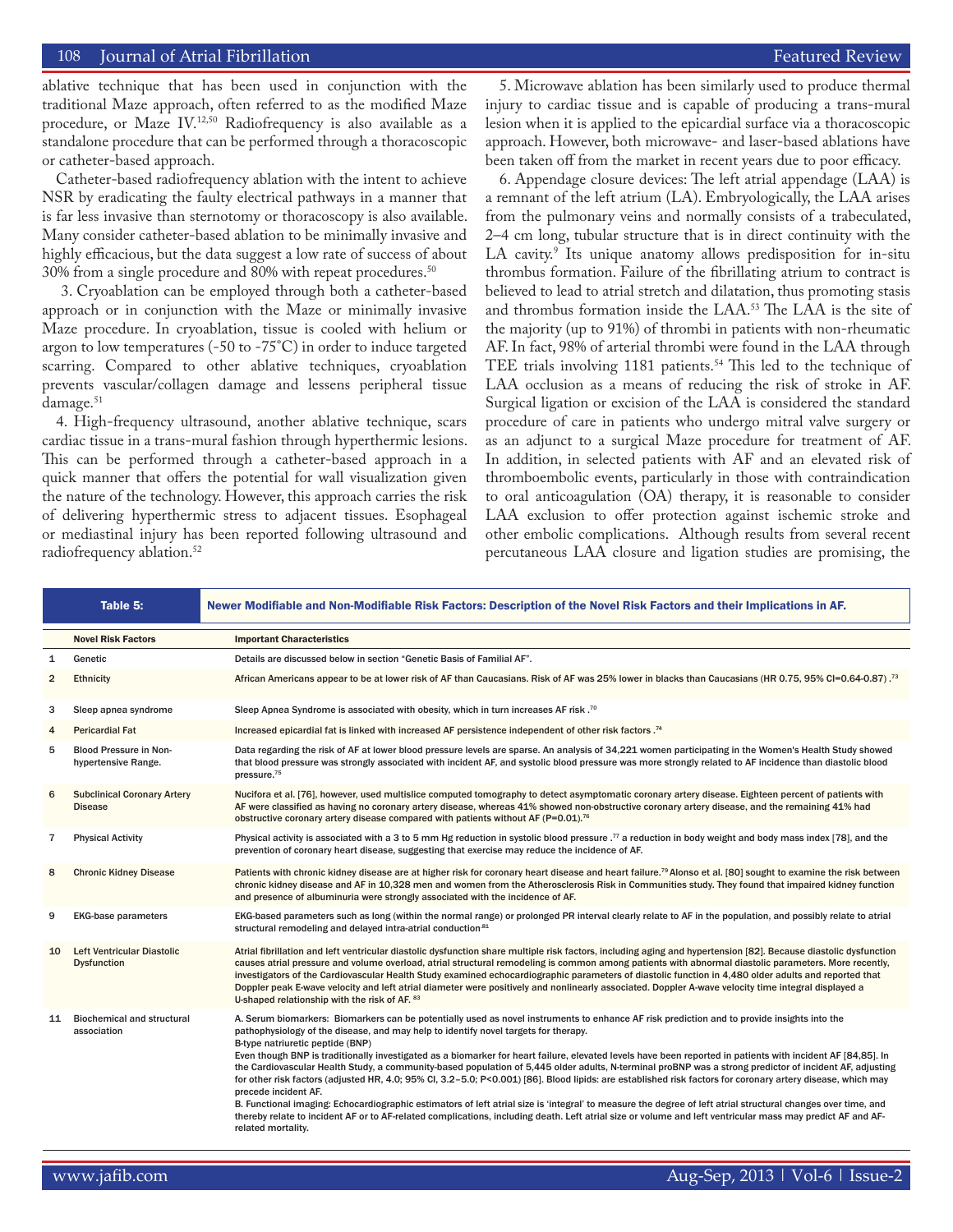#### 108 Journal of Atrial Fibrillation Featured Review Featured Review Featured Review Featured Review Featured Review  $\Gamma$

ablative technique that has been used in conjunction with the traditional Maze approach, often referred to as the modified Maze procedure, or Maze IV.12,50 Radiofrequency is also available as a standalone procedure that can be performed through a thoracoscopic or catheter-based approach.

Catheter-based radiofrequency ablation with the intent to achieve NSR by eradicating the faulty electrical pathways in a manner that is far less invasive than sternotomy or thoracoscopy is also available. Many consider catheter-based ablation to be minimally invasive and highly efficacious, but the data suggest a low rate of success of about 30% from a single procedure and 80% with repeat procedures.<sup>50</sup>

 3. Cryoablation can be employed through both a catheter-based approach or in conjunction with the Maze or minimally invasive Maze procedure. In cryoablation, tissue is cooled with helium or argon to low temperatures (-50 to -75°C) in order to induce targeted scarring. Compared to other ablative techniques, cryoablation prevents vascular/collagen damage and lessens peripheral tissue damage.<sup>51</sup>

4. High-frequency ultrasound, another ablative technique, scars cardiac tissue in a trans-mural fashion through hyperthermic lesions. This can be performed through a catheter-based approach in a quick manner that offers the potential for wall visualization given the nature of the technology. However, this approach carries the risk of delivering hyperthermic stress to adjacent tissues. Esophageal or mediastinal injury has been reported following ultrasound and radiofrequency ablation.<sup>52</sup>

5. Microwave ablation has been similarly used to produce thermal injury to cardiac tissue and is capable of producing a trans-mural lesion when it is applied to the epicardial surface via a thoracoscopic approach. However, both microwave- and laser-based ablations have been taken off from the market in recent years due to poor efficacy.

6. Appendage closure devices: The left atrial appendage (LAA) is a remnant of the left atrium (LA). Embryologically, the LAA arises from the pulmonary veins and normally consists of a trabeculated, 2–4 cm long, tubular structure that is in direct continuity with the LA cavity.9 Its unique anatomy allows predisposition for in-situ thrombus formation. Failure of the fibrillating atrium to contract is believed to lead to atrial stretch and dilatation, thus promoting stasis and thrombus formation inside the LAA.53 The LAA is the site of the majority (up to 91%) of thrombi in patients with non-rheumatic AF. In fact, 98% of arterial thrombi were found in the LAA through TEE trials involving 1181 patients.<sup>54</sup> This led to the technique of LAA occlusion as a means of reducing the risk of stroke in AF. Surgical ligation or excision of the LAA is considered the standard procedure of care in patients who undergo mitral valve surgery or as an adjunct to a surgical Maze procedure for treatment of AF. In addition, in selected patients with AF and an elevated risk of thromboembolic events, particularly in those with contraindication to oral anticoagulation (OA) therapy, it is reasonable to consider LAA exclusion to offer protection against ischemic stroke and other embolic complications. Although results from several recent percutaneous LAA closure and ligation studies are promising, the

|                | Table 5:                                                | Newer Modifiable and Non-Modifiable Risk Factors: Description of the Novel Risk Factors and their Implications in AF.                                                                                                                                                                                                                                                                                                                                                                                                                                                                                                                                                                                                                                                                                                                                                                                                                                                                                                                                                                                                                       |  |
|----------------|---------------------------------------------------------|---------------------------------------------------------------------------------------------------------------------------------------------------------------------------------------------------------------------------------------------------------------------------------------------------------------------------------------------------------------------------------------------------------------------------------------------------------------------------------------------------------------------------------------------------------------------------------------------------------------------------------------------------------------------------------------------------------------------------------------------------------------------------------------------------------------------------------------------------------------------------------------------------------------------------------------------------------------------------------------------------------------------------------------------------------------------------------------------------------------------------------------------|--|
|                | <b>Novel Risk Factors</b>                               | <b>Important Characteristics</b>                                                                                                                                                                                                                                                                                                                                                                                                                                                                                                                                                                                                                                                                                                                                                                                                                                                                                                                                                                                                                                                                                                            |  |
| $\mathbf{1}$   | Genetic                                                 | Details are discussed below in section "Genetic Basis of Familial AF".                                                                                                                                                                                                                                                                                                                                                                                                                                                                                                                                                                                                                                                                                                                                                                                                                                                                                                                                                                                                                                                                      |  |
| $\overline{2}$ | <b>Ethnicity</b>                                        | African Americans appear to be at lower risk of AF than Caucasians. Risk of AF was 25% lower in blacks than Caucasians (HR 0.75, 95% CI=0.64-0.87). <sup>73</sup>                                                                                                                                                                                                                                                                                                                                                                                                                                                                                                                                                                                                                                                                                                                                                                                                                                                                                                                                                                           |  |
| 3              | Sleep apnea syndrome                                    | Sleep Apnea Syndrome is associated with obesity, which in turn increases AF risk. <sup>70</sup>                                                                                                                                                                                                                                                                                                                                                                                                                                                                                                                                                                                                                                                                                                                                                                                                                                                                                                                                                                                                                                             |  |
| 4              | <b>Pericardial Fat</b>                                  | Increased epicardial fat is linked with increased AF persistence independent of other risk factors . <sup>74</sup>                                                                                                                                                                                                                                                                                                                                                                                                                                                                                                                                                                                                                                                                                                                                                                                                                                                                                                                                                                                                                          |  |
| 5              | Blood Pressure in Non-<br>hypertensive Range.           | Data regarding the risk of AF at lower blood pressure levels are sparse. An analysis of 34,221 women participating in the Women's Health Study showed<br>that blood pressure was strongly associated with incident AF, and systolic blood pressure was more strongly related to AF incidence than diastolic blood<br>pressure. <sup>75</sup>                                                                                                                                                                                                                                                                                                                                                                                                                                                                                                                                                                                                                                                                                                                                                                                                |  |
| 6              | <b>Subclinical Coronary Artery</b><br><b>Disease</b>    | Nucifora et al. [76], however, used multislice computed tomography to detect asymptomatic coronary artery disease. Eighteen percent of patients with<br>AF were classified as having no coronary artery disease, whereas 41% showed non-obstructive coronary artery disease, and the remaining 41% had<br>obstructive coronary artery disease compared with patients without AF (P=0.01). <sup>76</sup>                                                                                                                                                                                                                                                                                                                                                                                                                                                                                                                                                                                                                                                                                                                                     |  |
| $\overline{7}$ | <b>Physical Activity</b>                                | Physical activity is associated with a 3 to 5 mm Hg reduction in systolic blood pressure . <sup>77</sup> a reduction in body weight and body mass index [78], and the<br>prevention of coronary heart disease, suggesting that exercise may reduce the incidence of AF.                                                                                                                                                                                                                                                                                                                                                                                                                                                                                                                                                                                                                                                                                                                                                                                                                                                                     |  |
| 8              | <b>Chronic Kidney Disease</b>                           | Patients with chronic kidney disease are at higher risk for coronary heart disease and heart failure. <sup>79</sup> Alonso et al. [80] sought to examine the risk between<br>chronic kidney disease and AF in 10,328 men and women from the Atherosclerosis Risk in Communities study. They found that impaired kidney function<br>and presence of albuminuria were strongly associated with the incidence of AF.                                                                                                                                                                                                                                                                                                                                                                                                                                                                                                                                                                                                                                                                                                                           |  |
| 9              | <b>EKG-base parameters</b>                              | EKG-based parameters such as long (within the normal range) or prolonged PR interval clearly relate to AF in the population, and possibly relate to atrial<br>structural remodeling and delayed intra-atrial conduction <sup>81</sup>                                                                                                                                                                                                                                                                                                                                                                                                                                                                                                                                                                                                                                                                                                                                                                                                                                                                                                       |  |
| 10             | <b>Left Ventricular Diastolic</b><br><b>Dysfunction</b> | Atrial fibrillation and left ventricular diastolic dysfunction share multiple risk factors, including aging and hypertension [82]. Because diastolic dysfunction<br>causes atrial pressure and volume overload, atrial structural remodeling is common among patients with abnormal diastolic parameters. More recently,<br>investigators of the Cardiovascular Health Study examined echocardiographic parameters of diastolic function in 4,480 older adults and reported that<br>Doppler peak E-wave velocity and left atrial diameter were positively and nonlinearly associated. Doppler A-wave velocity time integral displayed a<br>U-shaped relationship with the risk of AF. 83                                                                                                                                                                                                                                                                                                                                                                                                                                                    |  |
| 11             | <b>Biochemical and structural</b><br>association        | A. Serum biomarkers: Biomarkers can be potentially used as novel instruments to enhance AF risk prediction and to provide insights into the<br>pathophysiology of the disease, and may help to identify novel targets for therapy.<br>B-type natriuretic peptide (BNP)<br>Even though BNP is traditionally investigated as a biomarker for heart failure, elevated levels have been reported in patients with incident AF [84,85]. In<br>the Cardiovascular Health Study, a community-based population of 5,445 older adults, N-terminal proBNP was a strong predictor of incident AF, adjusting<br>for other risk factors (adjusted HR, 4.0; 95% Cl, 3.2-5.0; P<0.001) [86]. Blood lipids: are established risk factors for coronary artery disease, which may<br>precede incident AF.<br>B. Functional imaging: Echocardiographic estimators of left atrial size is 'integral' to measure the degree of left atrial structural changes over time, and<br>thereby relate to incident AF or to AF-related complications, including death. Left atrial size or volume and left ventricular mass may predict AF and AF-<br>related mortality. |  |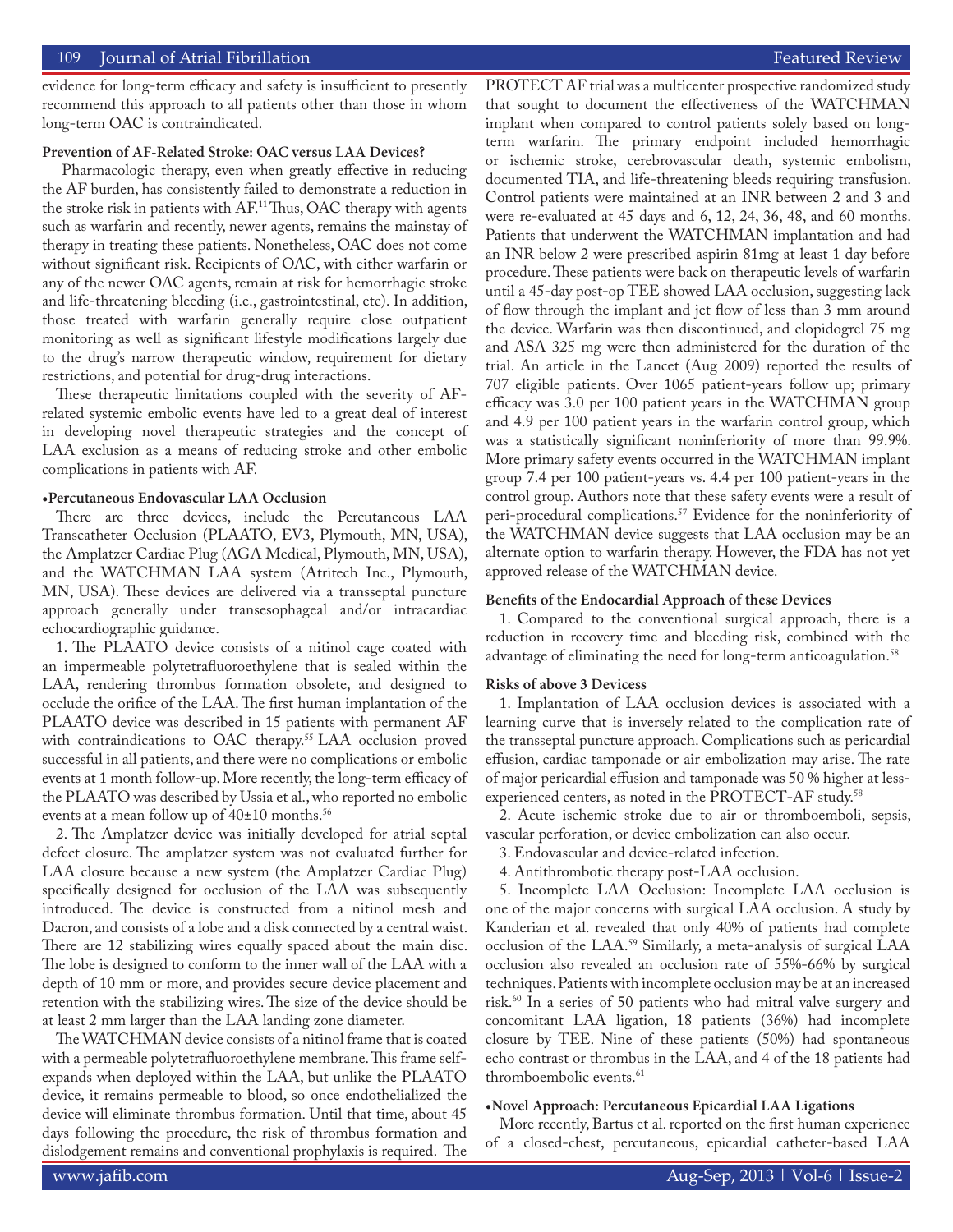evidence for long-term efficacy and safety is insufficient to presently recommend this approach to all patients other than those in whom long-term OAC is contraindicated.

#### **Prevention of AF-Related Stroke: OAC versus LAA Devices?**

 Pharmacologic therapy, even when greatly effective in reducing the AF burden, has consistently failed to demonstrate a reduction in the stroke risk in patients with AF.11 Thus, OAC therapy with agents such as warfarin and recently, newer agents, remains the mainstay of therapy in treating these patients. Nonetheless, OAC does not come without significant risk. Recipients of OAC, with either warfarin or any of the newer OAC agents, remain at risk for hemorrhagic stroke and life-threatening bleeding (i.e., gastrointestinal, etc). In addition, those treated with warfarin generally require close outpatient monitoring as well as significant lifestyle modifications largely due to the drug's narrow therapeutic window, requirement for dietary restrictions, and potential for drug-drug interactions.

These therapeutic limitations coupled with the severity of AFrelated systemic embolic events have led to a great deal of interest in developing novel therapeutic strategies and the concept of LAA exclusion as a means of reducing stroke and other embolic complications in patients with AF.

#### **•Percutaneous Endovascular LAA Occlusion**

There are three devices, include the Percutaneous LAA Transcatheter Occlusion (PLAATO, EV3, Plymouth, MN, USA), the Amplatzer Cardiac Plug (AGA Medical, Plymouth, MN, USA), and the WATCHMAN LAA system (Atritech Inc., Plymouth, MN, USA). These devices are delivered via a transseptal puncture approach generally under transesophageal and/or intracardiac echocardiographic guidance.

1. The PLAATO device consists of a nitinol cage coated with an impermeable polytetrafluoroethylene that is sealed within the LAA, rendering thrombus formation obsolete, and designed to occlude the orifice of the LAA. The first human implantation of the PLAATO device was described in 15 patients with permanent AF with contraindications to OAC therapy.<sup>55</sup> LAA occlusion proved successful in all patients, and there were no complications or embolic events at 1 month follow-up. More recently, the long-term efficacy of the PLAATO was described by Ussia et al., who reported no embolic events at a mean follow up of  $40\pm10$  months.<sup>56</sup>

2. The Amplatzer device was initially developed for atrial septal defect closure. The amplatzer system was not evaluated further for LAA closure because a new system (the Amplatzer Cardiac Plug) specifically designed for occlusion of the LAA was subsequently introduced. The device is constructed from a nitinol mesh and Dacron, and consists of a lobe and a disk connected by a central waist. There are 12 stabilizing wires equally spaced about the main disc. The lobe is designed to conform to the inner wall of the LAA with a depth of 10 mm or more, and provides secure device placement and retention with the stabilizing wires. The size of the device should be at least 2 mm larger than the LAA landing zone diameter.

The WATCHMAN device consists of a nitinol frame that is coated with a permeable polytetrafluoroethylene membrane. This frame selfexpands when deployed within the LAA, but unlike the PLAATO device, it remains permeable to blood, so once endothelialized the device will eliminate thrombus formation. Until that time, about 45 days following the procedure, the risk of thrombus formation and dislodgement remains and conventional prophylaxis is required. The PROTECT AF trial was a multicenter prospective randomized study that sought to document the effectiveness of the WATCHMAN implant when compared to control patients solely based on longterm warfarin. The primary endpoint included hemorrhagic or ischemic stroke, cerebrovascular death, systemic embolism, documented TIA, and life-threatening bleeds requiring transfusion. Control patients were maintained at an INR between 2 and 3 and were re-evaluated at 45 days and 6, 12, 24, 36, 48, and 60 months. Patients that underwent the WATCHMAN implantation and had an INR below 2 were prescribed aspirin 81mg at least 1 day before procedure. These patients were back on therapeutic levels of warfarin until a 45-day post-op TEE showed LAA occlusion, suggesting lack of flow through the implant and jet flow of less than 3 mm around the device. Warfarin was then discontinued, and clopidogrel 75 mg and ASA 325 mg were then administered for the duration of the trial. An article in the Lancet (Aug 2009) reported the results of 707 eligible patients. Over 1065 patient-years follow up; primary efficacy was 3.0 per 100 patient years in the WATCHMAN group and 4.9 per 100 patient years in the warfarin control group, which was a statistically significant noninferiority of more than 99.9%. More primary safety events occurred in the WATCHMAN implant group 7.4 per 100 patient-years vs. 4.4 per 100 patient-years in the control group. Authors note that these safety events were a result of peri-procedural complications.<sup>57</sup> Evidence for the noninferiority of the WATCHMAN device suggests that LAA occlusion may be an alternate option to warfarin therapy. However, the FDA has not yet approved release of the WATCHMAN device.

#### **Benefits of the Endocardial Approach of these Devices**

1. Compared to the conventional surgical approach, there is a reduction in recovery time and bleeding risk, combined with the advantage of eliminating the need for long-term anticoagulation.<sup>58</sup>

#### **Risks of above 3 Devicess**

1. Implantation of LAA occlusion devices is associated with a learning curve that is inversely related to the complication rate of the transseptal puncture approach. Complications such as pericardial effusion, cardiac tamponade or air embolization may arise. The rate of major pericardial effusion and tamponade was 50 % higher at lessexperienced centers, as noted in the PROTECT-AF study.<sup>58</sup>

2. Acute ischemic stroke due to air or thromboemboli, sepsis, vascular perforation, or device embolization can also occur.

- 3. Endovascular and device-related infection.
- 4. Antithrombotic therapy post-LAA occlusion.

5. Incomplete LAA Occlusion: Incomplete LAA occlusion is one of the major concerns with surgical LAA occlusion. A study by Kanderian et al. revealed that only 40% of patients had complete occlusion of the LAA.59 Similarly, a meta-analysis of surgical LAA occlusion also revealed an occlusion rate of 55%-66% by surgical techniques. Patients with incomplete occlusion may be at an increased risk.60 In a series of 50 patients who had mitral valve surgery and concomitant LAA ligation, 18 patients (36%) had incomplete closure by TEE. Nine of these patients (50%) had spontaneous echo contrast or thrombus in the LAA, and 4 of the 18 patients had thromboembolic events.<sup>61</sup>

#### **•Novel Approach: Percutaneous Epicardial LAA Ligations**

More recently, Bartus et al. reported on the first human experience of a closed-chest, percutaneous, epicardial catheter-based LAA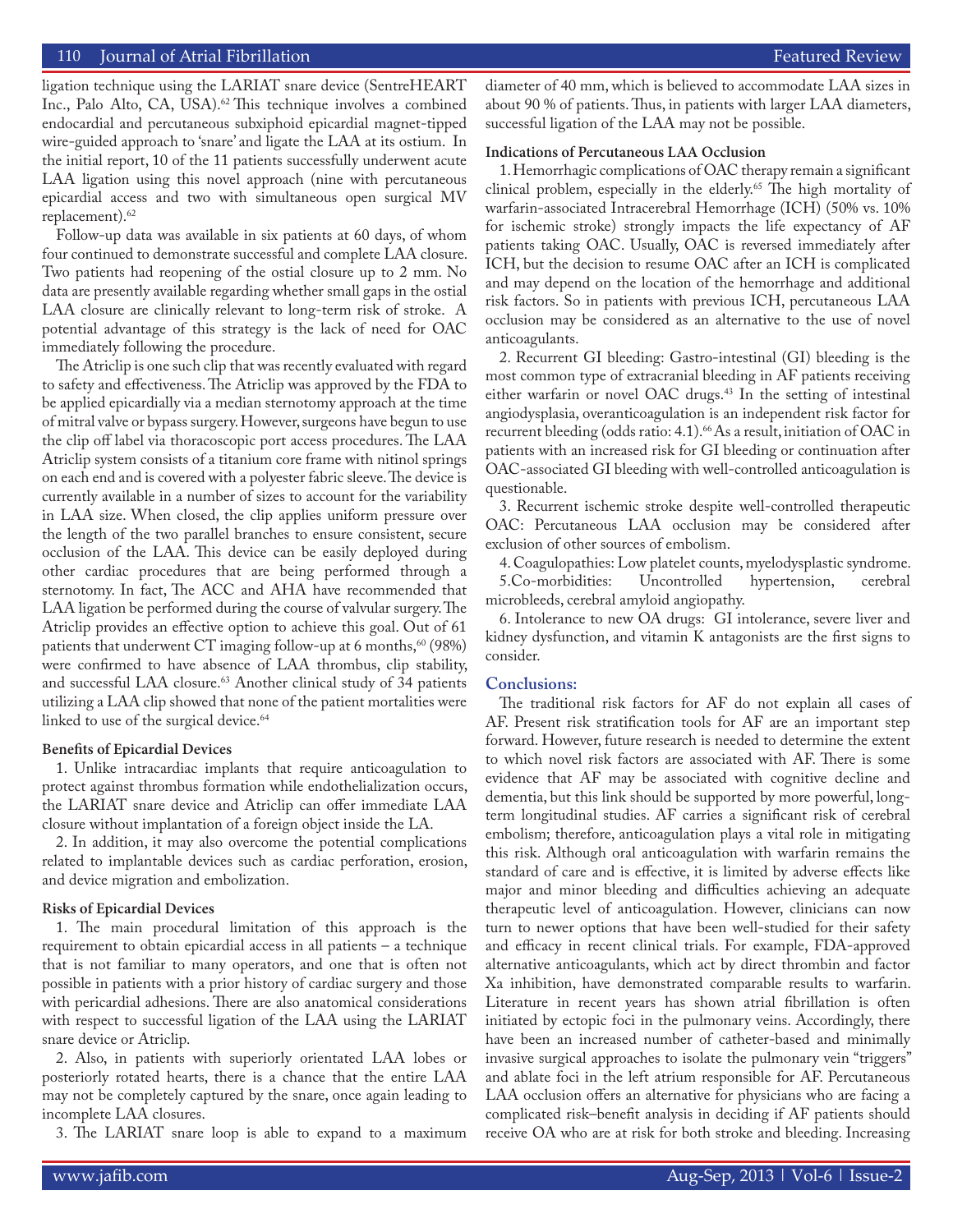## 110 Sournal of Atrial Fibrillation Featured Review Source Atlanta Communication Featured Review Featured Review

ligation technique using the LARIAT snare device (SentreHEART Inc., Palo Alto, CA, USA).<sup>62</sup> This technique involves a combined endocardial and percutaneous subxiphoid epicardial magnet-tipped wire-guided approach to 'snare' and ligate the LAA at its ostium. In the initial report, 10 of the 11 patients successfully underwent acute LAA ligation using this novel approach (nine with percutaneous epicardial access and two with simultaneous open surgical MV replacement).<sup>62</sup>

Follow-up data was available in six patients at 60 days, of whom four continued to demonstrate successful and complete LAA closure. Two patients had reopening of the ostial closure up to 2 mm. No data are presently available regarding whether small gaps in the ostial LAA closure are clinically relevant to long-term risk of stroke. A potential advantage of this strategy is the lack of need for OAC immediately following the procedure.

The Atriclip is one such clip that was recently evaluated with regard to safety and effectiveness. The Atriclip was approved by the FDA to be applied epicardially via a median sternotomy approach at the time of mitral valve or bypass surgery. However, surgeons have begun to use the clip off label via thoracoscopic port access procedures. The LAA Atriclip system consists of a titanium core frame with nitinol springs on each end and is covered with a polyester fabric sleeve. The device is currently available in a number of sizes to account for the variability in LAA size. When closed, the clip applies uniform pressure over the length of the two parallel branches to ensure consistent, secure occlusion of the LAA. This device can be easily deployed during other cardiac procedures that are being performed through a sternotomy. In fact, The ACC and AHA have recommended that LAA ligation be performed during the course of valvular surgery. The Atriclip provides an effective option to achieve this goal. Out of 61 patients that underwent CT imaging follow-up at 6 months, $60$  (98%) were confirmed to have absence of LAA thrombus, clip stability, and successful LAA closure.<sup>63</sup> Another clinical study of 34 patients utilizing a LAA clip showed that none of the patient mortalities were linked to use of the surgical device.<sup>64</sup>

#### **Benefits of Epicardial Devices**

1. Unlike intracardiac implants that require anticoagulation to protect against thrombus formation while endothelialization occurs, the LARIAT snare device and Atriclip can offer immediate LAA closure without implantation of a foreign object inside the LA.

2. In addition, it may also overcome the potential complications related to implantable devices such as cardiac perforation, erosion, and device migration and embolization.

#### **Risks of Epicardial Devices**

1. The main procedural limitation of this approach is the requirement to obtain epicardial access in all patients – a technique that is not familiar to many operators, and one that is often not possible in patients with a prior history of cardiac surgery and those with pericardial adhesions. There are also anatomical considerations with respect to successful ligation of the LAA using the LARIAT snare device or Atriclip.

2. Also, in patients with superiorly orientated LAA lobes or posteriorly rotated hearts, there is a chance that the entire LAA may not be completely captured by the snare, once again leading to incomplete LAA closures.

3. The LARIAT snare loop is able to expand to a maximum

diameter of 40 mm, which is believed to accommodate LAA sizes in about 90 % of patients. Thus, in patients with larger LAA diameters, successful ligation of the LAA may not be possible.

#### **Indications of Percutaneous LAA Occlusion**

1. Hemorrhagic complications of OAC therapy remain a significant clinical problem, especially in the elderly.<sup>65</sup> The high mortality of warfarin-associated Intracerebral Hemorrhage (ICH) (50% vs. 10% for ischemic stroke) strongly impacts the life expectancy of AF patients taking OAC. Usually, OAC is reversed immediately after ICH, but the decision to resume OAC after an ICH is complicated and may depend on the location of the hemorrhage and additional risk factors. So in patients with previous ICH, percutaneous LAA occlusion may be considered as an alternative to the use of novel anticoagulants.

2. Recurrent GI bleeding: Gastro-intestinal (GI) bleeding is the most common type of extracranial bleeding in AF patients receiving either warfarin or novel OAC drugs.<sup>43</sup> In the setting of intestinal angiodysplasia, overanticoagulation is an independent risk factor for recurrent bleeding (odds ratio: 4.1).<sup>66</sup> As a result, initiation of OAC in patients with an increased risk for GI bleeding or continuation after OAC-associated GI bleeding with well-controlled anticoagulation is questionable.

3. Recurrent ischemic stroke despite well-controlled therapeutic OAC: Percutaneous LAA occlusion may be considered after exclusion of other sources of embolism.

4. Coagulopathies: Low platelet counts, myelodysplastic syndrome.<br>5. Co-morbidities: Uncontrolled hypertension, cerebral 5.Co-morbidities: Uncontrolled microbleeds, cerebral amyloid angiopathy.

6. Intolerance to new OA drugs: GI intolerance, severe liver and kidney dysfunction, and vitamin K antagonists are the first signs to consider.

#### **Conclusions:**

The traditional risk factors for AF do not explain all cases of AF. Present risk stratification tools for AF are an important step forward. However, future research is needed to determine the extent to which novel risk factors are associated with AF. There is some evidence that AF may be associated with cognitive decline and dementia, but this link should be supported by more powerful, longterm longitudinal studies. AF carries a significant risk of cerebral embolism; therefore, anticoagulation plays a vital role in mitigating this risk. Although oral anticoagulation with warfarin remains the standard of care and is effective, it is limited by adverse effects like major and minor bleeding and difficulties achieving an adequate therapeutic level of anticoagulation. However, clinicians can now turn to newer options that have been well-studied for their safety and efficacy in recent clinical trials. For example, FDA-approved alternative anticoagulants, which act by direct thrombin and factor Xa inhibition, have demonstrated comparable results to warfarin. Literature in recent years has shown atrial fibrillation is often initiated by ectopic foci in the pulmonary veins. Accordingly, there have been an increased number of catheter-based and minimally invasive surgical approaches to isolate the pulmonary vein "triggers" and ablate foci in the left atrium responsible for AF. Percutaneous LAA occlusion offers an alternative for physicians who are facing a complicated risk–benefit analysis in deciding if AF patients should receive OA who are at risk for both stroke and bleeding. Increasing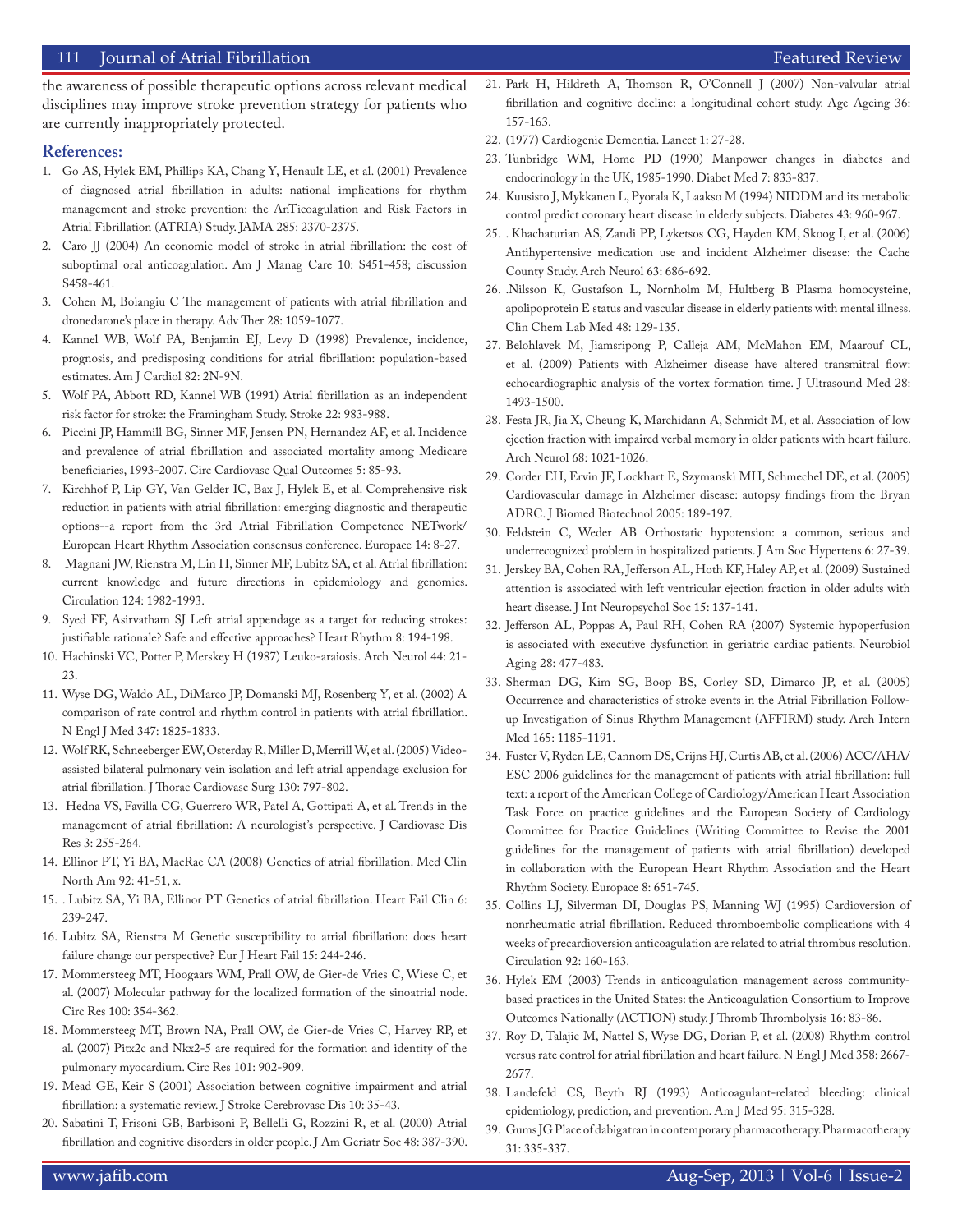## 111 Journal of Atrial Fibrillation **Featured Review** Featured Review **Featured Review**

## **References:**

- 1. Go AS, Hylek EM, Phillips KA, Chang Y, Henault LE, et al. (2001) Prevalence of diagnosed atrial fibrillation in adults: national implications for rhythm management and stroke prevention: the AnTicoagulation and Risk Factors in Atrial Fibrillation (ATRIA) Study. JAMA 285: 2370-2375.
- 2. Caro JJ (2004) An economic model of stroke in atrial fibrillation: the cost of suboptimal oral anticoagulation. Am J Manag Care 10: S451-458; discussion S458-461.
- 3. Cohen M, Boiangiu C The management of patients with atrial fibrillation and dronedarone's place in therapy. Adv Ther 28: 1059-1077.
- 4. Kannel WB, Wolf PA, Benjamin EJ, Levy D (1998) Prevalence, incidence, prognosis, and predisposing conditions for atrial fibrillation: population-based estimates. Am J Cardiol 82: 2N-9N.
- 5. Wolf PA, Abbott RD, Kannel WB (1991) Atrial fibrillation as an independent risk factor for stroke: the Framingham Study. Stroke 22: 983-988.
- 6. Piccini JP, Hammill BG, Sinner MF, Jensen PN, Hernandez AF, et al. Incidence and prevalence of atrial fibrillation and associated mortality among Medicare beneficiaries, 1993-2007. Circ Cardiovasc Qual Outcomes 5: 85-93.
- 7. Kirchhof P, Lip GY, Van Gelder IC, Bax J, Hylek E, et al. Comprehensive risk reduction in patients with atrial fibrillation: emerging diagnostic and therapeutic options--a report from the 3rd Atrial Fibrillation Competence NETwork/ European Heart Rhythm Association consensus conference. Europace 14: 8-27.
- 8. Magnani JW, Rienstra M, Lin H, Sinner MF, Lubitz SA, et al. Atrial fibrillation: current knowledge and future directions in epidemiology and genomics. Circulation 124: 1982-1993.
- 9. Syed FF, Asirvatham SJ Left atrial appendage as a target for reducing strokes: justifiable rationale? Safe and effective approaches? Heart Rhythm 8: 194-198.
- 10. Hachinski VC, Potter P, Merskey H (1987) Leuko-araiosis. Arch Neurol 44: 21- 23.
- 11. Wyse DG, Waldo AL, DiMarco JP, Domanski MJ, Rosenberg Y, et al. (2002) A comparison of rate control and rhythm control in patients with atrial fibrillation. N Engl J Med 347: 1825-1833.
- 12. Wolf RK, Schneeberger EW, Osterday R, Miller D, Merrill W, et al. (2005) Videoassisted bilateral pulmonary vein isolation and left atrial appendage exclusion for atrial fibrillation. J Thorac Cardiovasc Surg 130: 797-802.
- 13. Hedna VS, Favilla CG, Guerrero WR, Patel A, Gottipati A, et al. Trends in the management of atrial fibrillation: A neurologist's perspective. J Cardiovasc Dis Res 3: 255-264.
- 14. Ellinor PT, Yi BA, MacRae CA (2008) Genetics of atrial fibrillation. Med Clin North Am 92: 41-51, x.
- 15. . Lubitz SA, Yi BA, Ellinor PT Genetics of atrial fibrillation. Heart Fail Clin 6: 239-247.
- 16. Lubitz SA, Rienstra M Genetic susceptibility to atrial fibrillation: does heart failure change our perspective? Eur J Heart Fail 15: 244-246.
- 17. Mommersteeg MT, Hoogaars WM, Prall OW, de Gier-de Vries C, Wiese C, et al. (2007) Molecular pathway for the localized formation of the sinoatrial node. Circ Res 100: 354-362.
- 18. Mommersteeg MT, Brown NA, Prall OW, de Gier-de Vries C, Harvey RP, et al. (2007) Pitx2c and Nkx2-5 are required for the formation and identity of the pulmonary myocardium. Circ Res 101: 902-909.
- 19. Mead GE, Keir S (2001) Association between cognitive impairment and atrial fibrillation: a systematic review. J Stroke Cerebrovasc Dis 10: 35-43.
- 20. Sabatini T, Frisoni GB, Barbisoni P, Bellelli G, Rozzini R, et al. (2000) Atrial fibrillation and cognitive disorders in older people. J Am Geriatr Soc 48: 387-390.
	-
- 21. Park H, Hildreth A, Thomson R, O'Connell J (2007) Non-valvular atrial fibrillation and cognitive decline: a longitudinal cohort study. Age Ageing 36: 157-163.
- 22. (1977) Cardiogenic Dementia. Lancet 1: 27-28.
- 23. Tunbridge WM, Home PD (1990) Manpower changes in diabetes and endocrinology in the UK, 1985-1990. Diabet Med 7: 833-837.
- 24. Kuusisto J, Mykkanen L, Pyorala K, Laakso M (1994) NIDDM and its metabolic control predict coronary heart disease in elderly subjects. Diabetes 43: 960-967.
- 25. . Khachaturian AS, Zandi PP, Lyketsos CG, Hayden KM, Skoog I, et al. (2006) Antihypertensive medication use and incident Alzheimer disease: the Cache County Study. Arch Neurol 63: 686-692.
- 26. .Nilsson K, Gustafson L, Nornholm M, Hultberg B Plasma homocysteine, apolipoprotein E status and vascular disease in elderly patients with mental illness. Clin Chem Lab Med 48: 129-135.
- 27. Belohlavek M, Jiamsripong P, Calleja AM, McMahon EM, Maarouf CL, et al. (2009) Patients with Alzheimer disease have altered transmitral flow: echocardiographic analysis of the vortex formation time. J Ultrasound Med 28: 1493-1500.
- 28. Festa JR, Jia X, Cheung K, Marchidann A, Schmidt M, et al. Association of low ejection fraction with impaired verbal memory in older patients with heart failure. Arch Neurol 68: 1021-1026.
- 29. Corder EH, Ervin JF, Lockhart E, Szymanski MH, Schmechel DE, et al. (2005) Cardiovascular damage in Alzheimer disease: autopsy findings from the Bryan ADRC. J Biomed Biotechnol 2005: 189-197.
- 30. Feldstein C, Weder AB Orthostatic hypotension: a common, serious and underrecognized problem in hospitalized patients. J Am Soc Hypertens 6: 27-39.
- 31. Jerskey BA, Cohen RA, Jefferson AL, Hoth KF, Haley AP, et al. (2009) Sustained attention is associated with left ventricular ejection fraction in older adults with heart disease. J Int Neuropsychol Soc 15: 137-141.
- 32. Jefferson AL, Poppas A, Paul RH, Cohen RA (2007) Systemic hypoperfusion is associated with executive dysfunction in geriatric cardiac patients. Neurobiol Aging 28: 477-483.
- 33. Sherman DG, Kim SG, Boop BS, Corley SD, Dimarco JP, et al. (2005) Occurrence and characteristics of stroke events in the Atrial Fibrillation Followup Investigation of Sinus Rhythm Management (AFFIRM) study. Arch Intern Med 165: 1185-1191.
- 34. Fuster V, Ryden LE, Cannom DS, Crijns HJ, Curtis AB, et al. (2006) ACC/AHA/ ESC 2006 guidelines for the management of patients with atrial fibrillation: full text: a report of the American College of Cardiology/American Heart Association Task Force on practice guidelines and the European Society of Cardiology Committee for Practice Guidelines (Writing Committee to Revise the 2001 guidelines for the management of patients with atrial fibrillation) developed in collaboration with the European Heart Rhythm Association and the Heart Rhythm Society. Europace 8: 651-745.
- 35. Collins LJ, Silverman DI, Douglas PS, Manning WJ (1995) Cardioversion of nonrheumatic atrial fibrillation. Reduced thromboembolic complications with 4 weeks of precardioversion anticoagulation are related to atrial thrombus resolution. Circulation 92: 160-163.
- 36. Hylek EM (2003) Trends in anticoagulation management across communitybased practices in the United States: the Anticoagulation Consortium to Improve Outcomes Nationally (ACTION) study. J Thromb Thrombolysis 16: 83-86.
- 37. Roy D, Talajic M, Nattel S, Wyse DG, Dorian P, et al. (2008) Rhythm control versus rate control for atrial fibrillation and heart failure. N Engl J Med 358: 2667- 2677.
- 38. Landefeld CS, Beyth RJ (1993) Anticoagulant-related bleeding: clinical epidemiology, prediction, and prevention. Am J Med 95: 315-328.
- 39. Gums JG Place of dabigatran in contemporary pharmacotherapy. Pharmacotherapy 31: 335-337.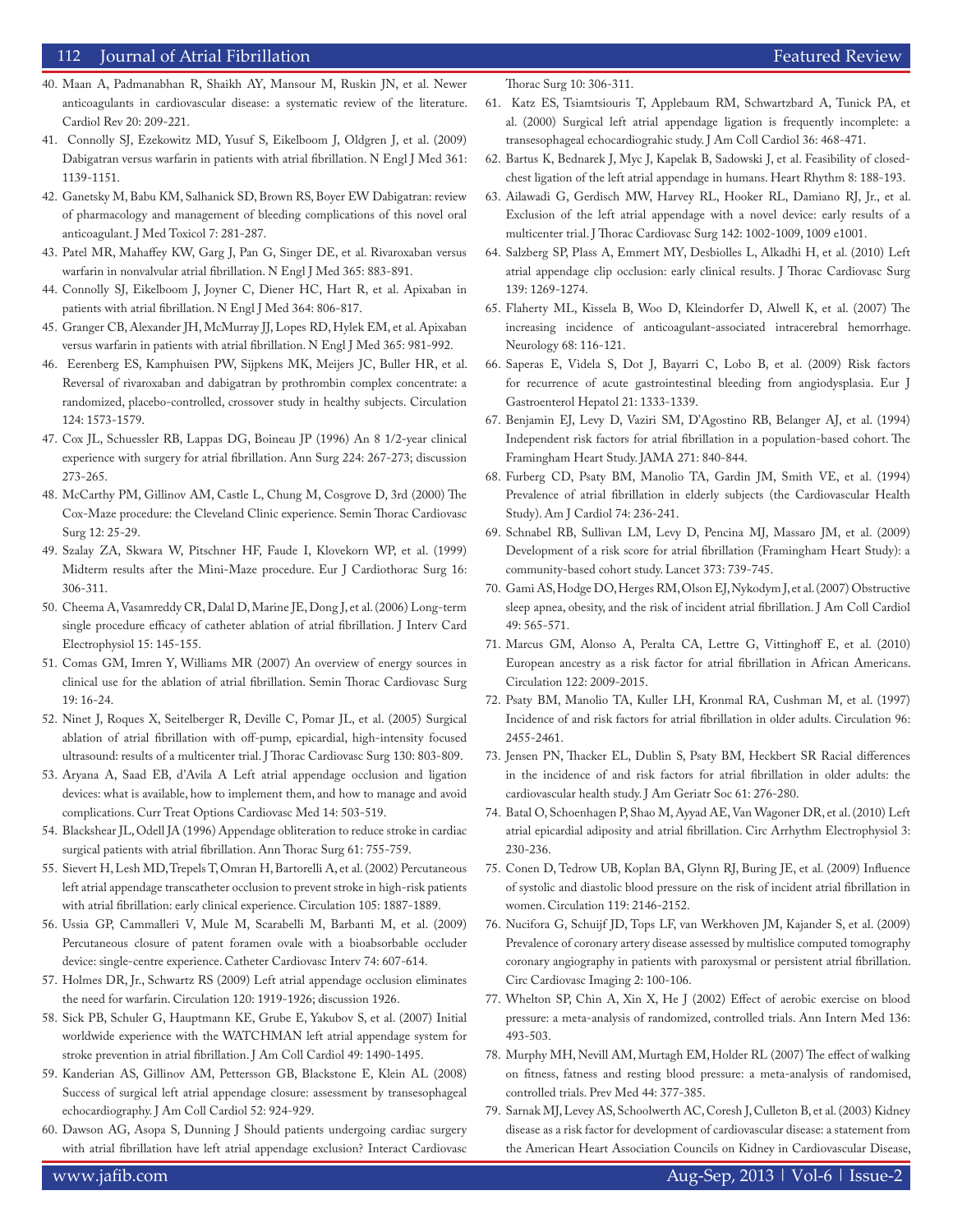## 112 Journal of Atrial Fibrillation **Featured Review** Featured Review **Featured Review**

- 40. Maan A, Padmanabhan R, Shaikh AY, Mansour M, Ruskin JN, et al. Newer anticoagulants in cardiovascular disease: a systematic review of the literature. Cardiol Rev 20: 209-221.
- 41. Connolly SJ, Ezekowitz MD, Yusuf S, Eikelboom J, Oldgren J, et al. (2009) Dabigatran versus warfarin in patients with atrial fibrillation. N Engl J Med 361: 1139-1151.
- 42. Ganetsky M, Babu KM, Salhanick SD, Brown RS, Boyer EW Dabigatran: review of pharmacology and management of bleeding complications of this novel oral anticoagulant. J Med Toxicol 7: 281-287.
- 43. Patel MR, Mahaffey KW, Garg J, Pan G, Singer DE, et al. Rivaroxaban versus warfarin in nonvalvular atrial fibrillation. N Engl J Med 365: 883-891.
- 44. Connolly SJ, Eikelboom J, Joyner C, Diener HC, Hart R, et al. Apixaban in patients with atrial fibrillation. N Engl J Med 364: 806-817.
- 45. Granger CB, Alexander JH, McMurray JJ, Lopes RD, Hylek EM, et al. Apixaban versus warfarin in patients with atrial fibrillation. N Engl J Med 365: 981-992.
- 46. Eerenberg ES, Kamphuisen PW, Sijpkens MK, Meijers JC, Buller HR, et al. Reversal of rivaroxaban and dabigatran by prothrombin complex concentrate: a randomized, placebo-controlled, crossover study in healthy subjects. Circulation 124: 1573-1579.
- 47. Cox JL, Schuessler RB, Lappas DG, Boineau JP (1996) An 8 1/2-year clinical experience with surgery for atrial fibrillation. Ann Surg 224: 267-273; discussion 273-265.
- 48. McCarthy PM, Gillinov AM, Castle L, Chung M, Cosgrove D, 3rd (2000) The Cox-Maze procedure: the Cleveland Clinic experience. Semin Thorac Cardiovasc Surg 12: 25-29.
- 49. Szalay ZA, Skwara W, Pitschner HF, Faude I, Klovekorn WP, et al. (1999) Midterm results after the Mini-Maze procedure. Eur J Cardiothorac Surg 16: 306-311.
- 50. Cheema A, Vasamreddy CR, Dalal D, Marine JE, Dong J, et al. (2006) Long-term single procedure efficacy of catheter ablation of atrial fibrillation. J Interv Card Electrophysiol 15: 145-155.
- 51. Comas GM, Imren Y, Williams MR (2007) An overview of energy sources in clinical use for the ablation of atrial fibrillation. Semin Thorac Cardiovasc Surg 19: 16-24.
- 52. Ninet J, Roques X, Seitelberger R, Deville C, Pomar JL, et al. (2005) Surgical ablation of atrial fibrillation with off-pump, epicardial, high-intensity focused ultrasound: results of a multicenter trial. J Thorac Cardiovasc Surg 130: 803-809.
- 53. Aryana A, Saad EB, d'Avila A Left atrial appendage occlusion and ligation devices: what is available, how to implement them, and how to manage and avoid complications. Curr Treat Options Cardiovasc Med 14: 503-519.
- 54. Blackshear JL, Odell JA (1996) Appendage obliteration to reduce stroke in cardiac surgical patients with atrial fibrillation. Ann Thorac Surg 61: 755-759.
- 55. Sievert H, Lesh MD, Trepels T, Omran H, Bartorelli A, et al. (2002) Percutaneous left atrial appendage transcatheter occlusion to prevent stroke in high-risk patients with atrial fibrillation: early clinical experience. Circulation 105: 1887-1889.
- 56. Ussia GP, Cammalleri V, Mule M, Scarabelli M, Barbanti M, et al. (2009) Percutaneous closure of patent foramen ovale with a bioabsorbable occluder device: single-centre experience. Catheter Cardiovasc Interv 74: 607-614.
- 57. Holmes DR, Jr., Schwartz RS (2009) Left atrial appendage occlusion eliminates the need for warfarin. Circulation 120: 1919-1926; discussion 1926.
- 58. Sick PB, Schuler G, Hauptmann KE, Grube E, Yakubov S, et al. (2007) Initial worldwide experience with the WATCHMAN left atrial appendage system for stroke prevention in atrial fibrillation. J Am Coll Cardiol 49: 1490-1495.
- 59. Kanderian AS, Gillinov AM, Pettersson GB, Blackstone E, Klein AL (2008) Success of surgical left atrial appendage closure: assessment by transesophageal echocardiography. J Am Coll Cardiol 52: 924-929.
- 60. Dawson AG, Asopa S, Dunning J Should patients undergoing cardiac surgery with atrial fibrillation have left atrial appendage exclusion? Interact Cardiovasc

Thorac Surg 10: 306-311.

- 61. Katz ES, Tsiamtsiouris T, Applebaum RM, Schwartzbard A, Tunick PA, et al. (2000) Surgical left atrial appendage ligation is frequently incomplete: a transesophageal echocardiograhic study. J Am Coll Cardiol 36: 468-471.
- 62. Bartus K, Bednarek J, Myc J, Kapelak B, Sadowski J, et al. Feasibility of closedchest ligation of the left atrial appendage in humans. Heart Rhythm 8: 188-193.
- 63. Ailawadi G, Gerdisch MW, Harvey RL, Hooker RL, Damiano RJ, Jr., et al. Exclusion of the left atrial appendage with a novel device: early results of a multicenter trial. J Thorac Cardiovasc Surg 142: 1002-1009, 1009 e1001.
- 64. Salzberg SP, Plass A, Emmert MY, Desbiolles L, Alkadhi H, et al. (2010) Left atrial appendage clip occlusion: early clinical results. J Thorac Cardiovasc Surg 139: 1269-1274.
- 65. Flaherty ML, Kissela B, Woo D, Kleindorfer D, Alwell K, et al. (2007) The increasing incidence of anticoagulant-associated intracerebral hemorrhage. Neurology 68: 116-121.
- 66. Saperas E, Videla S, Dot J, Bayarri C, Lobo B, et al. (2009) Risk factors for recurrence of acute gastrointestinal bleeding from angiodysplasia. Eur J Gastroenterol Hepatol 21: 1333-1339.
- 67. Benjamin EJ, Levy D, Vaziri SM, D'Agostino RB, Belanger AJ, et al. (1994) Independent risk factors for atrial fibrillation in a population-based cohort. The Framingham Heart Study. JAMA 271: 840-844.
- 68. Furberg CD, Psaty BM, Manolio TA, Gardin JM, Smith VE, et al. (1994) Prevalence of atrial fibrillation in elderly subjects (the Cardiovascular Health Study). Am J Cardiol 74: 236-241.
- 69. Schnabel RB, Sullivan LM, Levy D, Pencina MJ, Massaro JM, et al. (2009) Development of a risk score for atrial fibrillation (Framingham Heart Study): a community-based cohort study. Lancet 373: 739-745.
- 70. Gami AS, Hodge DO, Herges RM, Olson EJ, Nykodym J, et al. (2007) Obstructive sleep apnea, obesity, and the risk of incident atrial fibrillation. J Am Coll Cardiol 49: 565-571.
- 71. Marcus GM, Alonso A, Peralta CA, Lettre G, Vittinghoff E, et al. (2010) European ancestry as a risk factor for atrial fibrillation in African Americans. Circulation 122: 2009-2015.
- 72. Psaty BM, Manolio TA, Kuller LH, Kronmal RA, Cushman M, et al. (1997) Incidence of and risk factors for atrial fibrillation in older adults. Circulation 96: 2455-2461.
- 73. Jensen PN, Thacker EL, Dublin S, Psaty BM, Heckbert SR Racial differences in the incidence of and risk factors for atrial fibrillation in older adults: the cardiovascular health study. J Am Geriatr Soc 61: 276-280.
- 74. Batal O, Schoenhagen P, Shao M, Ayyad AE, Van Wagoner DR, et al. (2010) Left atrial epicardial adiposity and atrial fibrillation. Circ Arrhythm Electrophysiol 3: 230-236.
- 75. Conen D, Tedrow UB, Koplan BA, Glynn RJ, Buring JE, et al. (2009) Influence of systolic and diastolic blood pressure on the risk of incident atrial fibrillation in women. Circulation 119: 2146-2152.
- 76. Nucifora G, Schuijf JD, Tops LF, van Werkhoven JM, Kajander S, et al. (2009) Prevalence of coronary artery disease assessed by multislice computed tomography coronary angiography in patients with paroxysmal or persistent atrial fibrillation. Circ Cardiovasc Imaging 2: 100-106.
- 77. Whelton SP, Chin A, Xin X, He J (2002) Effect of aerobic exercise on blood pressure: a meta-analysis of randomized, controlled trials. Ann Intern Med 136: 493-503.
- 78. Murphy MH, Nevill AM, Murtagh EM, Holder RL (2007) The effect of walking on fitness, fatness and resting blood pressure: a meta-analysis of randomised, controlled trials. Prev Med 44: 377-385.
- 79. Sarnak MJ, Levey AS, Schoolwerth AC, Coresh J, Culleton B, et al. (2003) Kidney disease as a risk factor for development of cardiovascular disease: a statement from the American Heart Association Councils on Kidney in Cardiovascular Disease,